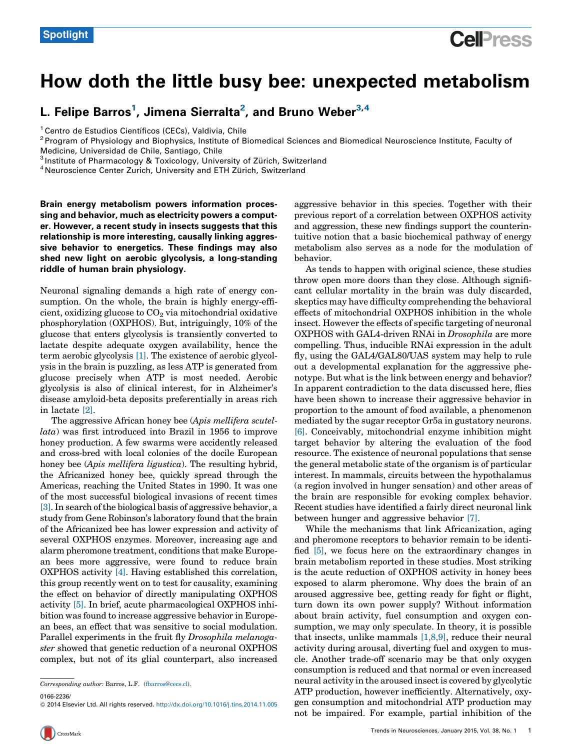## How doth the little busy bee: unexpected metabolism

L. Felipe Barros<sup>1</sup>, Jimena Sierralta<sup>2</sup>, and Bruno Weber<sup>3,4</sup>

<sup>1</sup> Centro de Estudios Científicos (CECs), Valdivia, Chile<br><sup>2</sup> Program of Physiology and Biophysics, Institute of Biomedical Sciences and Biomedical Neuroscience Institute, Faculty of Medicine, Universidad de Chile, Santiago, Chile<br><sup>3</sup> Institute of Pharmacology & Toxicology, University of Zürich, Switzerland 4 Neuroscience Center Zurich, University and ETH Zürich, Switzerland

Brain energy metabolism powers information processing and behavior, much as electricity powers a computer. However, a recent study in insects suggests that this relationship is more interesting, causally linking aggressive behavior to energetics. These findings may also shed new light on aerobic glycolysis, a long-standing riddle of human brain physiology.

Neuronal signaling demands a high rate of energy consumption. On the whole, the brain is highly energy-efficient, oxidizing glucose to  $CO<sub>2</sub>$  via mitochondrial oxidative phosphorylation (OXPHOS). But, intriguingly, 10% of the glucose that enters glycolysis is transiently converted to lactate despite adequate oxygen availability, hence the term aerobic glycolysis [\[1\].](#page-1-0) The existence of aerobic glycolysis in the brain is puzzling, as less ATP is generated from glucose precisely when ATP is most needed. Aerobic glycolysis is also of clinical interest, for in Alzheimer's disease amyloid-beta deposits preferentially in areas rich in lactate [\[2\]](#page-1-0).

The aggressive African honey bee (Apis mellifera scutellata) was first introduced into Brazil in 1956 to improve honey production. A few swarms were accidently released and cross-bred with local colonies of the docile European honey bee (Apis mellifera ligustica). The resulting hybrid, the Africanized honey bee, quickly spread through the Americas, reaching the United States in 1990. It was one of the most successful biological invasions of recent times [\[3\].](#page-1-0) In search ofthe biological basis of aggressive behavior, a study from Gene Robinson's laboratory found that the brain of the Africanized bee has lower expression and activity of several OXPHOS enzymes. Moreover, increasing age and alarm pheromone treatment, conditions that make European bees more aggressive, were found to reduce brain OXPHOS activity [\[4\]](#page-1-0). Having established this correlation, this group recently went on to test for causality, examining the effect on behavior of directly manipulating OXPHOS activity [\[5\].](#page-1-0) In brief, acute pharmacological OXPHOS inhibition was found to increase aggressive behavior in European bees, an effect that was sensitive to social modulation. Parallel experiments in the fruit fly Drosophila melanogaster showed that genetic reduction of a neuronal OXPHOS complex, but not of its glial counterpart, also increased

0166-2236/

aggressive behavior in this species. Together with their previous report of a correlation between OXPHOS activity and aggression, these new findings support the counterintuitive notion that a basic biochemical pathway of energy metabolism also serves as a node for the modulation of behavior.

As tends to happen with original science, these studies throw open more doors than they close. Although significant cellular mortality in the brain was duly discarded, skeptics may have difficulty comprehending the behavioral effects of mitochondrial OXPHOS inhibition in the whole insect. However the effects of specific targeting of neuronal OXPHOS with GAL4-driven RNAi in Drosophila are more compelling. Thus, inducible RNAi expression in the adult fly, using the GAL4/GAL80/UAS system may help to rule out a developmental explanation for the aggressive phenotype. But what is the link between energy and behavior? In apparent contradiction to the data discussed here, flies have been shown to increase their aggressive behavior in proportion to the amount of food available, a phenomenon mediated by the sugar receptor Gr5a in gustatory neurons. [\[6\].](#page-1-0) Conceivably, mitochondrial enzyme inhibition might target behavior by altering the evaluation of the food resource. The existence of neuronal populations that sense the general metabolic state of the organism is of particular interest. In mammals, circuits between the hypothalamus (a region involved in hunger sensation) and other areas of the brain are responsible for evoking complex behavior. Recent studies have identified a fairly direct neuronal link between hunger and aggressive behavior [\[7\]](#page-1-0).

While the mechanisms that link Africanization, aging and pheromone receptors to behavior remain to be identified [\[5\]](#page-1-0), we focus here on the extraordinary changes in brain metabolism reported in these studies. Most striking is the acute reduction of OXPHOS activity in honey bees exposed to alarm pheromone. Why does the brain of an aroused aggressive bee, getting ready for fight or flight, turn down its own power supply? Without information about brain activity, fuel consumption and oxygen consumption, we may only speculate. In theory, it is possible that insects, unlike mammals [\[1,8,9\]](#page-1-0), reduce their neural activity during arousal, diverting fuel and oxygen to muscle. Another trade-off scenario may be that only oxygen consumption is reduced and that normal or even increased neural activity in the aroused insectis covered by glycolytic ATP production, however inefficiently. Alternatively, oxygen consumption and mitochondrial ATP production may not be impaired. For example, partial inhibition of the

Corresponding author: Barros, L.F. [\(fbarros@cecs.cl](mailto:fbarros@cecs.cl)).

<sup>© 2014</sup> Elsevier Ltd. All rights reserved. <http://dx.doi.org/10.1016/j.tins.2014.11.005>